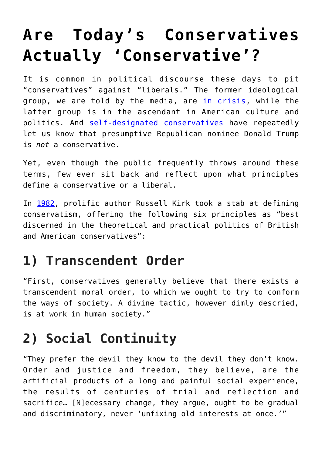# **[Are Today's Conservatives](https://intellectualtakeout.org/2016/05/are-todays-conservatives-actually-conservative/) [Actually 'Conservative'?](https://intellectualtakeout.org/2016/05/are-todays-conservatives-actually-conservative/)**

It is common in political discourse these days to pit "conservatives" against "liberals." The former ideological group, we are told by the media, are [in crisis,](https://www.intellectualtakeout.org/blog/whats-really-wrong-republicans) while the latter group is in the ascendant in American culture and politics. And [self-designated conservatives](https://www.intellectualtakeout.org/blog/conservatives-attempt-last-stand-against-trump) have repeatedly let us know that presumptive Republican nominee Donald Trump is *not* a conservative.

Yet, even though the public frequently throws around these terms, few ever sit back and reflect upon what principles define a conservative or a liberal.

In [1982](http://www.isi.org/books/content/400chap1.pdf), prolific author Russell Kirk took a stab at defining conservatism, offering the following six principles as "best discerned in the theoretical and practical politics of British and American conservatives":

# **1) Transcendent Order**

"First, conservatives generally believe that there exists a transcendent moral order, to which we ought to try to conform the ways of society. A divine tactic, however dimly descried, is at work in human society."

# **2) Social Continuity**

"They prefer the devil they know to the devil they don't know. Order and justice and freedom, they believe, are the artificial products of a long and painful social experience, the results of centuries of trial and reflection and sacrifice… [N]ecessary change, they argue, ought to be gradual and discriminatory, never 'unfixing old interests at once.'"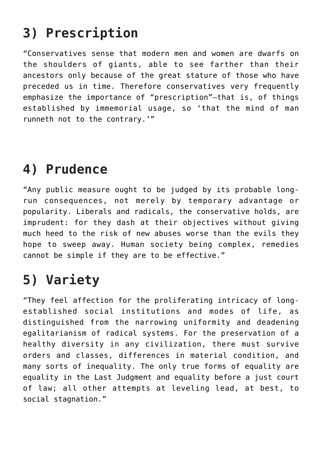# **3) Prescription**

"Conservatives sense that modern men and women are dwarfs on the shoulders of giants, able to see farther than their ancestors only because of the great stature of those who have preceded us in time. Therefore conservatives very frequently emphasize the importance of "prescription"—that is, of things established by immemorial usage, so 'that the mind of man runneth not to the contrary.'"

### **4) Prudence**

"Any public measure ought to be judged by its probable longrun consequences, not merely by temporary advantage or popularity. Liberals and radicals, the conservative holds, are imprudent: for they dash at their objectives without giving much heed to the risk of new abuses worse than the evils they hope to sweep away. Human society being complex, remedies cannot be simple if they are to be effective."

# **5) Variety**

"They feel affection for the proliferating intricacy of longestablished social institutions and modes of life, as distinguished from the narrowing uniformity and deadening egalitarianism of radical systems. For the preservation of a healthy diversity in any civilization, there must survive orders and classes, differences in material condition, and many sorts of inequality. The only true forms of equality are equality in the Last Judgment and equality before a just court of law; all other attempts at leveling lead, at best, to social stagnation."